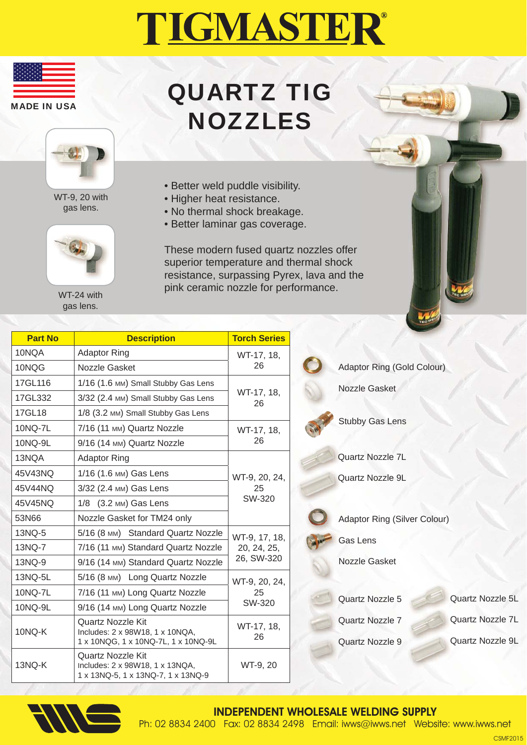## TIGMASTER®



## QUARTZ TIG NOZZLES



WT-9, 20 with gas lens.



WT-24 with gas lens.

- Better weld puddle visibility.
- Higher heat resistance.
- No thermal shock breakage.
- Better laminar gas coverage.

These modern fused quartz nozzles offer superior temperature and thermal shock resistance, surpassing Pyrex, lava and the pink ceramic nozzle for performance.

| <b>Part No</b> | <b>Description</b>                                                                          | <b>Torch Series</b>                        |
|----------------|---------------------------------------------------------------------------------------------|--------------------------------------------|
| 10NQA          | <b>Adaptor Ring</b>                                                                         | WT-17, 18,<br>26                           |
| 10NQG          | Nozzle Gasket                                                                               |                                            |
| 17GL116        | 1/16 (1.6 MM) Small Stubby Gas Lens                                                         | WT-17, 18,<br>26                           |
| 17GL332        | 3/32 (2.4 MM) Small Stubby Gas Lens                                                         |                                            |
| 17GL18         | 1/8 (3.2 MM) Small Stubby Gas Lens                                                          |                                            |
| 10NQ-7L        | 7/16 (11 MM) Quartz Nozzle                                                                  | WT-17, 18,<br>26                           |
| 10NQ-9L        | 9/16 (14 MM) Quartz Nozzle                                                                  |                                            |
| 13NQA          | <b>Adaptor Ring</b>                                                                         | WT-9, 20, 24,<br>25<br>SW-320              |
| 45V43NO        | 1/16 (1.6 MM) Gas Lens                                                                      |                                            |
| 45V44NQ        | 3/32 (2.4 MM) Gas Lens                                                                      |                                            |
| 45V45NQ        | 1/8 (3.2 MM) Gas Lens                                                                       |                                            |
| 53N66          | Nozzle Gasket for TM24 only                                                                 |                                            |
| 13NQ-5         | 5/16 (8 MM) Standard Quartz Nozzle                                                          | WT-9, 17, 18,<br>20, 24, 25,<br>26, SW-320 |
| 13NQ-7         | 7/16 (11 MM) Standard Quartz Nozzle                                                         |                                            |
| 13NQ-9         | 9/16 (14 MM) Standard Quartz Nozzle                                                         |                                            |
| 13NQ-5L        | 5/16 (8 MM) Long Quartz Nozzle                                                              | WT-9, 20, 24,<br>25<br>SW-320              |
| 10NQ-7L        | 7/16 (11 MM) Long Quartz Nozzle                                                             |                                            |
| 10NQ-9L        | 9/16 (14 MM) Long Quartz Nozzle                                                             |                                            |
| 10NQ-K         | Quartz Nozzle Kit<br>Includes: 2 x 98W18, 1 x 10NQA,<br>1 x 10NQG, 1 x 10NQ-7L, 1 x 10NQ-9L | WT-17, 18,<br>26                           |
| 13NQ-K         | Quartz Nozzle Kit<br>Includes: 2 x 98W18, 1 x 13NQA,<br>1 x 13NQ-5, 1 x 13NQ-7, 1 x 13NQ-9  | WT-9, 20                                   |

Adaptor Ring (Gold Colour) Nozzle Gasket Adaptor Ring (Silver Colour) Gas Lens Nozzle Gasket Quartz Nozzle 7L Quartz Nozzle 9L Stubby Gas Lens

Quartz Nozzle 5

Quartz Nozzle 7

Quartz Nozzle 9

Quartz Nozzle 5L Quartz Nozzle 7L Quartz Nozzle 9L



INDEPENDENT WHOLESALE WELDING SUPPLY Ph: 02 8834 2400 Fax: 02 8834 2498 Email: iwws@iwws.net Website: www.iwws.net